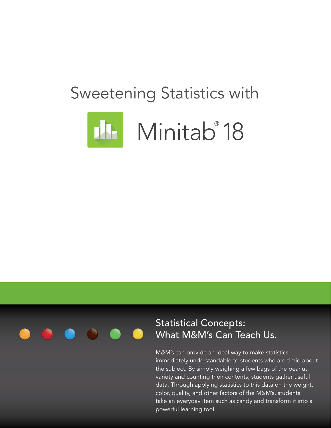# Sweetening Statistics with





### Statistical Concepts: What M&M's Can Teach Us.

M&M's can provide an ideal way to make statistics immediately understandable to students who are timid about the subject. By simply weighing a few bags of the peanut variety and counting their contents, students gather useful data. Through applying statistics to this data on the weight, color, quality, and other factors of the M&M's, students take an everyday item such as candy and transform it into a powerful learning tool.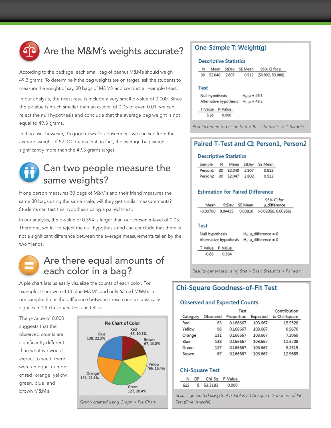

# Are the M&M's weights accurate?

According to the package, each small bag of peanut M&M's should weigh 49.3 grams. To determine if the bag weights are on target, ask the students to measure the weight of say, 30 bags of M&M's and conduct a 1-sample t-test.

In our analysis, the t-test results include a very small p-value of 0.000. Since the p-value is much smaller than an  $α$ -level of 0.05 or even 0.01, we can reject the null hypothesis and conclude that the average bag weight is not equal to 49.3 grams.

In this case, however, it's good news for consumers—we can see from the average weight of 52.040 grams that, in fact, the average bag weight is significantly more than the 49.3 grams target.



### Can two people measure the same weights?

If one person measures 30 bags of M&M's and their friend measures the same 30 bags using the same scale, will they get similar measurements? Students can test this hypothesis using a paired t-test.

In our analysis, the p-value of 0.394 is larger than our chosen  $\alpha$ -level of 0.05. Therefore, we fail to reject the null hypothesis and can conclude that there is not a significant difference between the average measurements taken by the two friends.



### Are there equal amounts of each color in a bag?

A pie chart lets us easily visualize the counts of each color. For example, there were 138 blue M&M's and only 63 red M&M's in our sample. But is the difference between these counts statistically significant? A chi-square test can tell us.

The p-value of 0.000 suggests that the observed counts are significantly different than what we would expect to see if there were an equal number of red, orange, yellow, green, blue, and brown M&M's.



### One-Sample T: Weight(g)

#### **Descriptive Statistics**

| Ν               | Mean   | StDev                  | SE Mean              | 95% CI for u     |
|-----------------|--------|------------------------|----------------------|------------------|
| 30              | 52.040 | 2.807                  | 0.512                | (50.992, 53.088) |
|                 |        |                        |                      |                  |
| <b>Fest</b>     |        |                        |                      |                  |
| Null hypothesis |        |                        | $H_0: \mu = 49.3$    |                  |
|                 |        | Alternative hypothesis | $H_1: \mu \neq 49.3$ |                  |
| T-Value         |        | P-Value                |                      |                  |
|                 | 5.35   | 0.000                  |                      |                  |
|                 |        |                        |                      |                  |

*Results generated using Stat > Basic Statistics > 1-Sample t.*

### Paired T-Test and CI: Person1, Person2

#### **Descriptive Statistics**

| Sample              | N.   | Mean   |       | StDev SE Mean |
|---------------------|------|--------|-------|---------------|
| Person1 30 52.040   |      |        | 2.807 | 0.512         |
| Person <sub>2</sub> | - 30 | 52.047 | 2.802 | 0.512         |

#### **Estimation for Paired Difference**

|            |         | 95% CI for |                       |
|------------|---------|------------|-----------------------|
| Mean       | StDev   | SE Mean    | µ_difference          |
| $-0.00700$ | 0.04435 | 0.00810    | $(-0.02356, 0.00956)$ |

#### **Test**

| Null hypothesis    |                        | $H_0$ : $\mu$ _difference = 0      |
|--------------------|------------------------|------------------------------------|
|                    | Alternative hypothesis | $H_1$ : $\mu$ _difference $\neq 0$ |
| T-Value<br>P-Value |                        |                                    |
| $-0.86$            | 0.394                  |                                    |

*Results generated using Stat > Basic Statistics > Paired t.*

### **Chi-Square Goodness-of-Fit Test**

#### **Observed and Expected Counts**

|          | Test     |            |          | Contribution  |
|----------|----------|------------|----------|---------------|
| Category | Observed | Proportion | Expected | to Chi-Square |
| Red      | 63       | 0.166667   | 103.667  | 15.9528       |
| Yellow   | 96       | 0.166667   | 103.667  | 0.5670        |
| Orange   | 131      | 0.166667   | 103.667  | 7.2069        |
| Blue     | 138      | 0.166667   | 103.667  | 11.3708       |
| Green    | 127      | 0.166667   | 103.667  | 5.2519        |
| Brown    | 67       | 0.166667   | 103.667  | 12.9689       |

#### **Chi-Square Test**

| אנו |                | Chi-Sa P-Value |
|-----|----------------|----------------|
|     | - - -<br>- - - | חרזר           |

*Results generated using Stat > Tables > Chi-Square Goodness-of-Fit Test (One Variable).*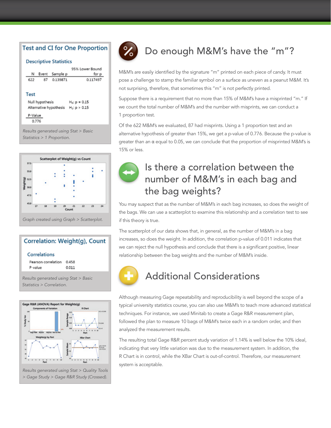### **Test and CI for One Proportion**

#### **Descriptive Statistics**

|         | Ν                                                                                          | Event | Sample p | 95% Lower Bound<br>for p |  |  |
|---------|--------------------------------------------------------------------------------------------|-------|----------|--------------------------|--|--|
|         | 622                                                                                        | 87    | 0.139871 | 0.117497                 |  |  |
|         | Test<br>Null hypothesis<br>$H_0$ ; $p = 0.15$<br>Alternative hypothesis<br>$H_1: p > 0.15$ |       |          |                          |  |  |
| P-Value |                                                                                            |       |          |                          |  |  |
|         | 0.776                                                                                      |       |          |                          |  |  |
|         | Results generated using Stat > Basic                                                       |       |          |                          |  |  |

*Statistics > 1 Proportion.*



### Correlation: Weight(q), Count

#### Correlations

Pearson correlation 0.458 P-value 0.011

*Results generated using Stat > Basic Statistics > Correlation.*





# Do enough M&M's have the "m"?

M&M's are easily identified by the signature "m" printed on each piece of candy. It must pose a challenge to stamp the familiar symbol on a surface as uneven as a peanut M&M. It's not surprising, therefore, that sometimes this "m" is not perfectly printed.

Suppose there is a requirement that no more than 15% of M&M's have a misprinted "m." If we count the total number of M&M's and the number with misprints, we can conduct a 1 proportion test.

Of the 622 M&M's we evaluated, 87 had misprints. Using a 1 proportion test and an alternative hypothesis of greater than 15%, we get a p-value of 0.776. Because the p-value is greater than an  $α$  equal to 0.05, we can conclude that the proportion of misprinted M&M's is 15% or less.



# Is there a correlation between the number of M&M's in each bag and the bag weights?

You may suspect that as the number of M&M's in each bag increases, so does the weight of the bags. We can use a scatterplot to examine this relationship and a correlation test to see if this theory is true.

The scatterplot of our data shows that, in general, as the number of M&M's in a bag increases, so does the weight. In addition, the correlation p-value of 0.011 indicates that we can reject the null hypothesis and conclude that there is a significant positive, linear relationship between the bag weights and the number of M&M's inside.



# Additional Considerations

Although measuring Gage repeatability and reproducibility is well beyond the scope of a typical university statistics course, you can also use M&M's to teach more advanced statistical techniques. For instance, we used Minitab to create a Gage R&R measurement plan, followed the plan to measure 10 bags of M&M's twice each in a random order, and then analyzed the measurement results.

The resulting total Gage R&R percent study variation of 1.14% is well below the 10% ideal, indicating that very little variation was due to the measurement system. In addition, the R Chart is in control, while the XBar Chart is out-of-control. Therefore, our measurement system is acceptable.